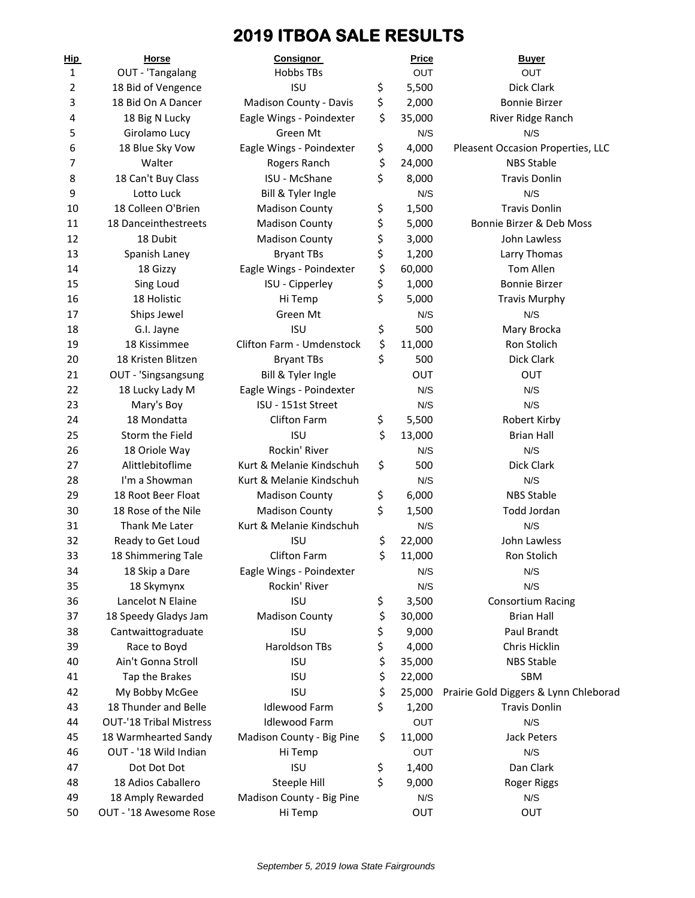# **2019 ITBOA SALE RESULTS**

| <u>Hip</u> | <b>Horse</b>                   | <b>Consignor</b>          | <b>Price</b> | <b>Buyer</b>                          |
|------------|--------------------------------|---------------------------|--------------|---------------------------------------|
| 1          | OUT - 'Tangalang               | <b>Hobbs TBs</b>          | <b>OUT</b>   | OUT                                   |
| 2          | 18 Bid of Vengence             | <b>ISU</b>                | \$<br>5,500  | Dick Clark                            |
| 3          | 18 Bid On A Dancer             | Madison County - Davis    | \$<br>2,000  | <b>Bonnie Birzer</b>                  |
| 4          | 18 Big N Lucky                 | Eagle Wings - Poindexter  | \$<br>35,000 | River Ridge Ranch                     |
| 5          | Girolamo Lucy                  | Green Mt                  | N/S          | N/S                                   |
| 6          | 18 Blue Sky Vow                | Eagle Wings - Poindexter  | \$<br>4,000  | Pleasent Occasion Properties, LLC     |
| 7          | Walter                         | Rogers Ranch              | \$<br>24,000 | <b>NBS Stable</b>                     |
| 8          | 18 Can't Buy Class             | ISU - McShane             | \$<br>8,000  | <b>Travis Donlin</b>                  |
| 9          | Lotto Luck                     | Bill & Tyler Ingle        | N/S          | N/S                                   |
| 10         | 18 Colleen O'Brien             | <b>Madison County</b>     | \$<br>1,500  | <b>Travis Donlin</b>                  |
| 11         | 18 Danceinthestreets           | <b>Madison County</b>     | \$<br>5,000  | Bonnie Birzer & Deb Moss              |
| 12         | 18 Dubit                       | <b>Madison County</b>     | \$<br>3,000  | John Lawless                          |
| 13         | Spanish Laney                  | <b>Bryant TBs</b>         | \$<br>1,200  | Larry Thomas                          |
| 14         | 18 Gizzy                       | Eagle Wings - Poindexter  | \$<br>60,000 | Tom Allen                             |
| 15         | Sing Loud                      | ISU - Cipperley           | \$<br>1,000  | <b>Bonnie Birzer</b>                  |
| 16         | 18 Holistic                    | Hi Temp                   | \$<br>5,000  | <b>Travis Murphy</b>                  |
| 17         | Ships Jewel                    | Green Mt                  | N/S          | N/S                                   |
| 18         | G.I. Jayne                     | <b>ISU</b>                | \$<br>500    | Mary Brocka                           |
| 19         | 18 Kissimmee                   | Clifton Farm - Umdenstock | \$<br>11,000 | Ron Stolich                           |
| 20         | 18 Kristen Blitzen             | <b>Bryant TBs</b>         | \$<br>500    | <b>Dick Clark</b>                     |
| 21         | OUT - 'Singsangsung            | Bill & Tyler Ingle        | OUT          | OUT                                   |
| 22         | 18 Lucky Lady M                | Eagle Wings - Poindexter  | N/S          | N/S                                   |
| 23         | Mary's Boy                     | ISU - 151st Street        | N/S          | N/S                                   |
| 24         | 18 Mondatta                    | <b>Clifton Farm</b>       | \$<br>5,500  | Robert Kirby                          |
| 25         | Storm the Field                | <b>ISU</b>                | \$<br>13,000 | <b>Brian Hall</b>                     |
| 26         | 18 Oriole Way                  | Rockin' River             | N/S          | N/S                                   |
| 27         | Alittlebitoflime               | Kurt & Melanie Kindschuh  | \$<br>500    | Dick Clark                            |
| 28         | I'm a Showman                  | Kurt & Melanie Kindschuh  | N/S          | N/S                                   |
| 29         | 18 Root Beer Float             | <b>Madison County</b>     | \$<br>6,000  | <b>NBS Stable</b>                     |
| 30         | 18 Rose of the Nile            | <b>Madison County</b>     | \$<br>1,500  | Todd Jordan                           |
| 31         | Thank Me Later                 | Kurt & Melanie Kindschuh  | N/S          | N/S                                   |
| 32         | Ready to Get Loud              | <b>ISU</b>                | \$<br>22,000 | John Lawless                          |
| 33         | 18 Shimmering Tale             | Clifton Farm              | \$<br>11,000 | Ron Stolich                           |
| 34         | 18 Skip a Dare                 | Eagle Wings - Poindexter  | N/S          | N/S                                   |
| 35         | 18 Skymynx                     | Rockin' River             | N/S          | N/S                                   |
| 36         | Lancelot N Elaine              | <b>ISU</b>                | \$<br>3,500  | Consortium Racing                     |
| 37         | 18 Speedy Gladys Jam           | <b>Madison County</b>     | \$<br>30,000 | <b>Brian Hall</b>                     |
| 38         | Cantwaittograduate             | <b>ISU</b>                | \$<br>9,000  | Paul Brandt                           |
| 39         | Race to Boyd                   | Haroldson TBs             | \$<br>4,000  | Chris Hicklin                         |
| 40         | Ain't Gonna Stroll             | <b>ISU</b>                | \$<br>35,000 | <b>NBS Stable</b>                     |
| 41         | Tap the Brakes                 | <b>ISU</b>                | \$<br>22,000 | SBM                                   |
| 42         | My Bobby McGee                 | <b>ISU</b>                | \$<br>25,000 | Prairie Gold Diggers & Lynn Chleborad |
| 43         | 18 Thunder and Belle           | <b>Idlewood Farm</b>      | \$<br>1,200  | <b>Travis Donlin</b>                  |
| 44         | <b>OUT-'18 Tribal Mistress</b> | <b>Idlewood Farm</b>      | OUT          | N/S                                   |
| 45         | 18 Warmhearted Sandy           | Madison County - Big Pine | \$<br>11,000 | Jack Peters                           |
| 46         | OUT - '18 Wild Indian          | Hi Temp                   | OUT          | N/S                                   |
| 47         | Dot Dot Dot                    | <b>ISU</b>                | \$<br>1,400  | Dan Clark                             |
| 48         | 18 Adios Caballero             | Steeple Hill              | \$<br>9,000  | <b>Roger Riggs</b>                    |
| 49         | 18 Amply Rewarded              | Madison County - Big Pine | N/S          | N/S                                   |
| 50         | OUT - '18 Awesome Rose         | Hi Temp                   | OUT          | OUT                                   |
|            |                                |                           |              |                                       |